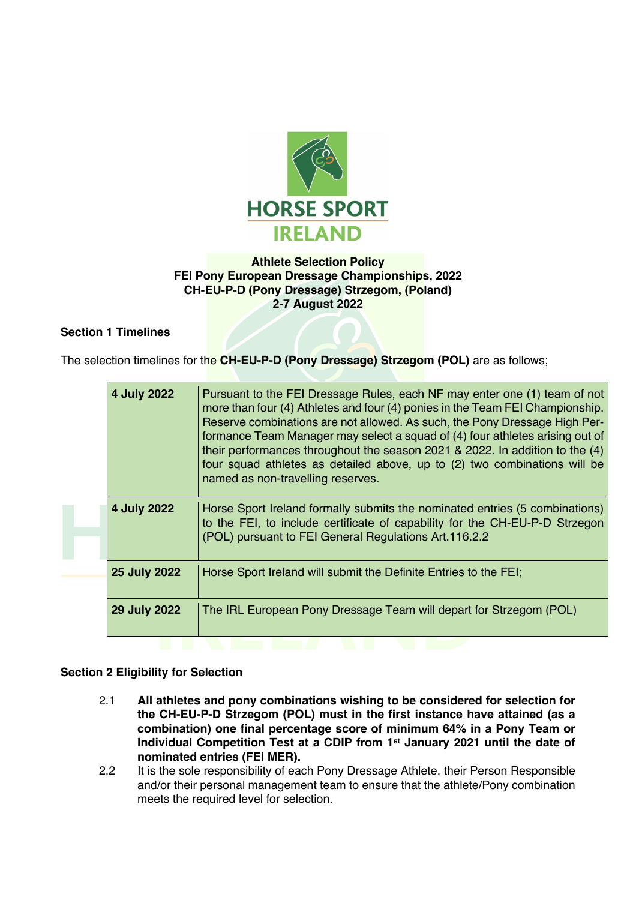

## **Athlete Selection Policy FEI Pony European Dressage Championships, 2022 CH-EU-P-D (Pony Dressage) Strzegom, (Poland) 2-7 August 2022**

# **Section 1 Timelines**

The selection timelines for the **CH-EU-P-D (Pony Dressage) Strzegom (POL)** are as follows;

|  | 4 July 2022         | Pursuant to the FEI Dressage Rules, each NF may enter one (1) team of not<br>more than four (4) Athletes and four (4) ponies in the Team FEI Championship.<br>Reserve combinations are not allowed. As such, the Pony Dressage High Per-<br>formance Team Manager may select a squad of (4) four athletes arising out of<br>their performances throughout the season 2021 & 2022. In addition to the (4)<br>four squad athletes as detailed above, up to (2) two combinations will be<br>named as non-travelling reserves. |
|--|---------------------|----------------------------------------------------------------------------------------------------------------------------------------------------------------------------------------------------------------------------------------------------------------------------------------------------------------------------------------------------------------------------------------------------------------------------------------------------------------------------------------------------------------------------|
|  | 4 July 2022         | Horse Sport Ireland formally submits the nominated entries (5 combinations)<br>to the FEI, to include certificate of capability for the CH-EU-P-D Strzegon<br>(POL) pursuant to FEI General Regulations Art.116.2.2                                                                                                                                                                                                                                                                                                        |
|  | 25 July 2022        | Horse Sport Ireland will submit the Definite Entries to the FEI;                                                                                                                                                                                                                                                                                                                                                                                                                                                           |
|  | <b>29 July 2022</b> | The IRL European Pony Dressage Team will depart for Strzegom (POL)                                                                                                                                                                                                                                                                                                                                                                                                                                                         |

## **Section 2 Eligibility for Selection**

- 2.1 **All athletes and pony combinations wishing to be considered for selection for the CH-EU-P-D Strzegom (POL) must in the first instance have attained (as a combination) one final percentage score of minimum 64% in a Pony Team or Individual Competition Test at a CDIP from 1st January 2021 until the date of nominated entries (FEI MER).**
- 2.2 It is the sole responsibility of each Pony Dressage Athlete, their Person Responsible and/or their personal management team to ensure that the athlete/Pony combination meets the required level for selection.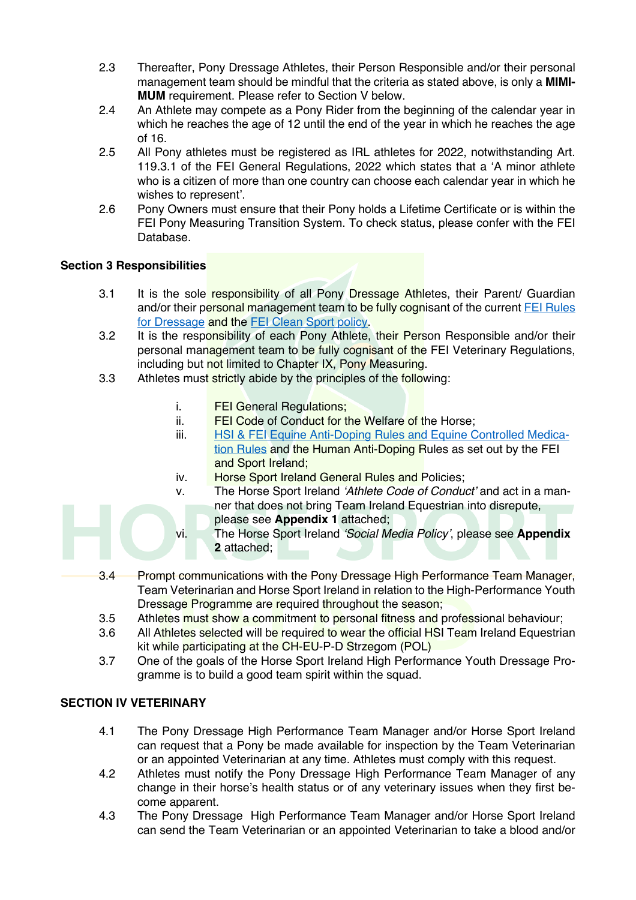- 2.3 Thereafter, Pony Dressage Athletes, their Person Responsible and/or their personal management team should be mindful that the criteria as stated above, is only a **MIMI-MUM** requirement. Please refer to Section V below.
- 2.4 An Athlete may compete as a Pony Rider from the beginning of the calendar year in which he reaches the age of 12 until the end of the year in which he reaches the age of 16.
- 2.5 All Pony athletes must be registered as IRL athletes for 2022, notwithstanding Art. 119.3.1 of the FEI General Regulations, 2022 which states that a 'A minor athlete who is a citizen of more than one country can choose each calendar year in which he wishes to represent'.
- 2.6 Pony Owners must ensure that their Pony holds a Lifetime Certificate or is within the FEI Pony Measuring Transition System. To check status, please confer with the FEI Database.

# **Section 3 Responsibilities**

- 3.1 It is the sole responsibility of all Pony Dressage Athletes, their Parent/ Guardian and/or their personal management team to be fully cognisant of the current FEI Rules for Dressage and the **FEI Clean Sport policy**.
- 3.2 It is the responsibility of each Pony Athlete, their Person Responsible and/or their personal management team to be fully cognisant of the FEI Veterinary Regulations, including but not limited to Chapter IX, Pony Measuring.
- 3.3 Athletes must strictly abide by the principles of the following:
	- i. FEI General Regulations;
	- ii. FEI Code of Conduct for the Welfare of the Horse;
	- iii. **HSI & FEI Equine Anti-Doping Rules and Equine Controlled Medica**tion Rules and the Human Anti-Doping Rules as set out by the FEI and Sport Ireland;
	- iv. **Horse Sport Ireland General Rules and Policies;**
	- v. The Horse Sport Ireland *'Athlete Code of Conduct'* and act in a manner that does not bring Team Ireland Equestrian into disrepute, please see **Appendix 1** attached;
	- vi. The Horse Sport Ireland *'Social Media Policy'*, please see **Appendix 2** attached;
- 3.4 Prompt communications with the Pony Dressage High Performance Team Manager, Team Veterinarian and Horse Sport Ireland in relation to the High-Performance Youth Dressage Programme are required throughout the season;
- 3.5 Athletes must show a commitment to personal fitness and professional behaviour;
- 3.6 All Athletes selected will be required to wear the official HSI Team Ireland Equestrian kit while participating at the CH-EU-P-D Strzegom (POL)
- 3.7 One of the goals of the Horse Sport Ireland High Performance Youth Dressage Programme is to build a good team spirit within the squad.

# **SECTION IV VETERINARY**

- 4.1 The Pony Dressage High Performance Team Manager and/or Horse Sport Ireland can request that a Pony be made available for inspection by the Team Veterinarian or an appointed Veterinarian at any time. Athletes must comply with this request.
- 4.2 Athletes must notify the Pony Dressage High Performance Team Manager of any change in their horse's health status or of any veterinary issues when they first become apparent.
- 4.3 The Pony Dressage High Performance Team Manager and/or Horse Sport Ireland can send the Team Veterinarian or an appointed Veterinarian to take a blood and/or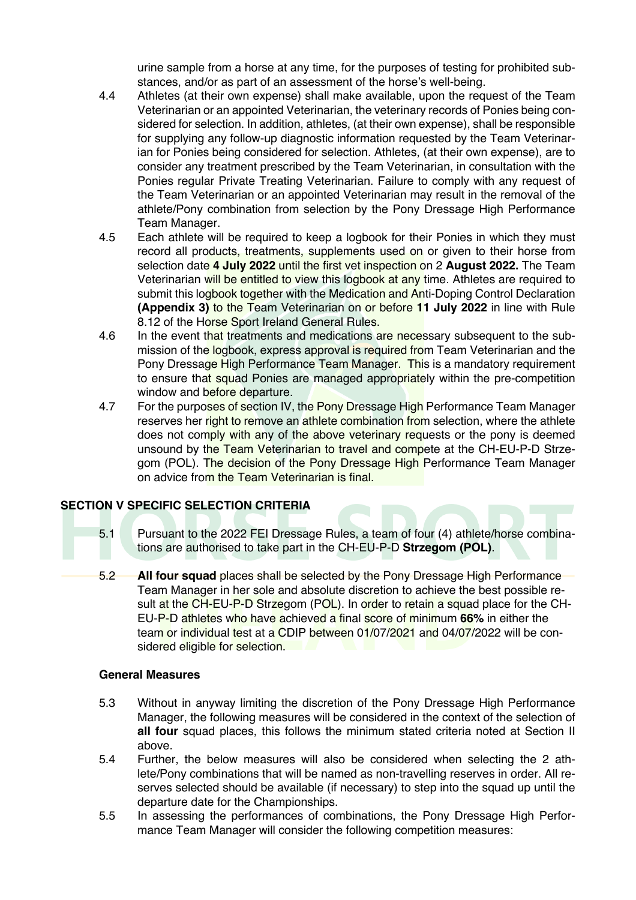urine sample from a horse at any time, for the purposes of testing for prohibited substances, and/or as part of an assessment of the horse's well-being.

- 4.4 Athletes (at their own expense) shall make available, upon the request of the Team Veterinarian or an appointed Veterinarian, the veterinary records of Ponies being considered for selection. In addition, athletes, (at their own expense), shall be responsible for supplying any follow-up diagnostic information requested by the Team Veterinarian for Ponies being considered for selection. Athletes, (at their own expense), are to consider any treatment prescribed by the Team Veterinarian, in consultation with the Ponies regular Private Treating Veterinarian. Failure to comply with any request of the Team Veterinarian or an appointed Veterinarian may result in the removal of the athlete/Pony combination from selection by the Pony Dressage High Performance Team Manager.
- 4.5 Each athlete will be required to keep a logbook for their Ponies in which they must record all products, treatments, supplements used on or given to their horse from selection date **4 July 2022** until the first vet inspection on 2 **August 2022.** The Team Veterinarian will be entitled to view this logbook at any time. Athletes are required to submit this logbook together with the Medication and Anti-Doping Control Declaration **(Appendix 3)** to the Team Veterinarian on or before **11 July 2022** in line with Rule 8.12 of the Horse Sport Ireland General Rules.
- 4.6 In the event that treatments and medications are necessary subsequent to the submission of the logbook, express approval is required from Team Veterinarian and the Pony Dressage High Performance Team Manager. This is a mandatory requirement to ensure that squad Ponies are managed appropriately within the pre-competition window and before departure.
- 4.7 For the purposes of section IV, the Pony Dressage High Performance Team Manager reserves her right to remove an athlete combination from selection, where the athlete does not comply with any of the above veterinary requests or the pony is deemed unsound by the Team Veterinarian to travel and compete at the CH-EU-P-D Strzegom (POL). The decision of the Pony Dressage High Performance Team Manager on advice from the Team Veterinarian is final.

# **SECTION V SPECIFIC SELECTION CRITERIA**

- 5.1 Pursuant to the 2022 FEI Dressage Rules, a team of four (4) athlete/horse combinations are authorised to take part in the CH-EU-P-D **Strzegom (POL)**.
- 5.2 **All four squad** places shall be selected by the Pony Dressage High Performance Team Manager in her sole and absolute discretion to achieve the best possible result at the CH-EU-P-D Strzegom (POL). In order to retain a squad place for the CH-EU-P-D athletes who have achieved a final score of minimum **66%** in either the team or individual test at a CDIP between 01/07/2021 and 04/07/2022 will be considered eligible for selection.

### **General Measures**

- 5.3 Without in anyway limiting the discretion of the Pony Dressage High Performance Manager, the following measures will be considered in the context of the selection of **all four** squad places, this follows the minimum stated criteria noted at Section II above.
- 5.4 Further, the below measures will also be considered when selecting the 2 athlete/Pony combinations that will be named as non-travelling reserves in order. All reserves selected should be available (if necessary) to step into the squad up until the departure date for the Championships.
- 5.5 In assessing the performances of combinations, the Pony Dressage High Performance Team Manager will consider the following competition measures: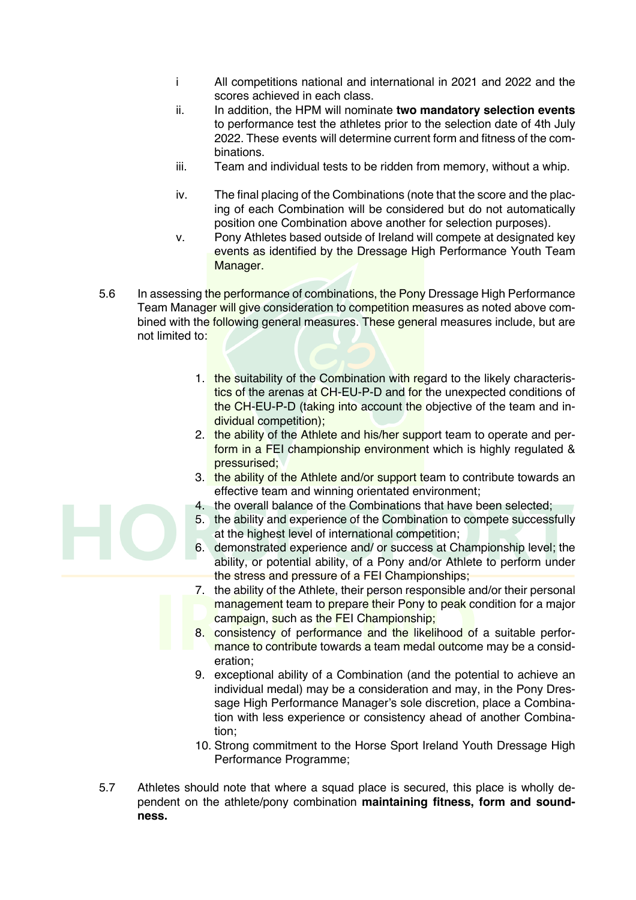- i All competitions national and international in 2021 and 2022 and the scores achieved in each class.
- ii. In addition, the HPM will nominate **two mandatory selection events** to performance test the athletes prior to the selection date of 4th July 2022. These events will determine current form and fitness of the combinations.
- iii. Team and individual tests to be ridden from memory, without a whip.
- iv. The final placing of the Combinations (note that the score and the placing of each Combination will be considered but do not automatically position one Combination above another for selection purposes).
- v. Pony Athletes based outside of Ireland will compete at designated key events as identified by the Dressage High Performance Youth Team Manager.
- 5.6 In assessing the performance of combinations, the Pony Dressage High Performance Team Manager will give consideration to competition measures as noted above combined with the following general measures. These general measures include, but are not limited to:
	- 1. the suitability of the Combination with regard to the likely characteristics of the arenas at CH-EU-P-D and for the unexpected conditions of the CH-EU-P-D (taking into account the objective of the team and individual competition);
	- 2. the ability of the Athlete and his/her support team to operate and perform in a FEI championship environment which is highly regulated & pressurised;
	- 3. the ability of the Athlete and/or support team to contribute towards an effective team and winning orientated environment;
	- 4. the overall balance of the Combinations that have been selected;
	- 5. the ability and experience of the Combination to compete successfully at the highest level of international competition;
	- 6. demonstrated experience and/ or success at Championship level; the ability, or potential ability, of a Pony and/or Athlete to perform under the stress and pressure of a FEI Championships;
	- 7. the ability of the Athlete, their person responsible and/or their personal management team to prepare their Pony to peak condition for a major campaign, such as the FEI Championship;
	- 8. consistency of performance and the likelihood of a suitable performance to contribute towards a team medal outcome may be a consideration;
	- 9. exceptional ability of a Combination (and the potential to achieve an individual medal) may be a consideration and may, in the Pony Dressage High Performance Manager's sole discretion, place a Combination with less experience or consistency ahead of another Combination;
	- 10. Strong commitment to the Horse Sport Ireland Youth Dressage High Performance Programme;
- 5.7 Athletes should note that where a squad place is secured, this place is wholly dependent on the athlete/pony combination **maintaining fitness, form and soundness.**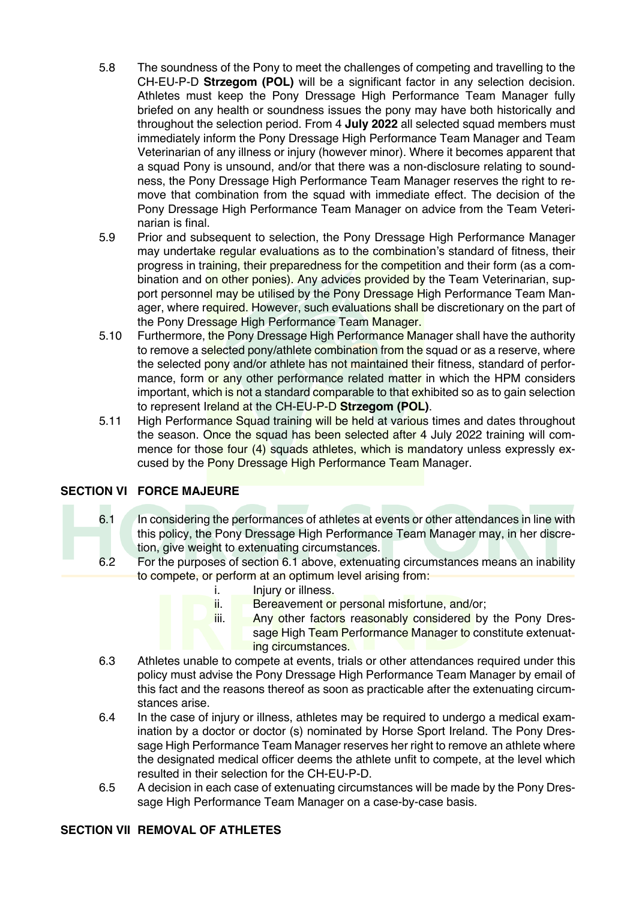- 5.8 The soundness of the Pony to meet the challenges of competing and travelling to the CH-EU-P-D **Strzegom (POL)** will be a significant factor in any selection decision. Athletes must keep the Pony Dressage High Performance Team Manager fully briefed on any health or soundness issues the pony may have both historically and throughout the selection period. From 4 **July 2022** all selected squad members must immediately inform the Pony Dressage High Performance Team Manager and Team Veterinarian of any illness or injury (however minor). Where it becomes apparent that a squad Pony is unsound, and/or that there was a non-disclosure relating to soundness, the Pony Dressage High Performance Team Manager reserves the right to remove that combination from the squad with immediate effect. The decision of the Pony Dressage High Performance Team Manager on advice from the Team Veterinarian is final.
- 5.9 Prior and subsequent to selection, the Pony Dressage High Performance Manager may undertake regular evaluations as to the combination's standard of fitness, their progress in training, their preparedness for the competition and their form (as a combination and on other ponies). Any advices provided by the Team Veterinarian, support personnel may be utilised by the Pony Dressage High Performance Team Manager, where required. However, such evaluations shall be discretionary on the part of the Pony Dressage High Performance Team Manager.
- 5.10 Furthermore, the Pony Dressage High Performance Manager shall have the authority to remove a selected pony/athlete combination from the squad or as a reserve, where the selected pony and/or athlete has not maintained their fitness, standard of performance, form or any other performance related matter in which the HPM considers important, which is not a standard comparable to that exhibited so as to gain selection to represent Ireland at the CH-EU-P-D **Strzegom (POL)**.
- 5.11 High Performance Squad training will be held at various times and dates throughout the season. Once the squad has been selected after 4 July 2022 training will commence for those four (4) squads athletes, which is mandatory unless expressly excused by the Pony Dressage High Performance Team Manager.

# **SECTION VI FORCE MAJEURE**

- 6.1 In considering the performances of athletes at events or other attendances in line with this policy, the Pony Dressage High Performance Team Manager may, in her discretion, give weight to extenuating circumstances.
- 6.2 For the purposes of section 6.1 above, extenuating circumstances means an inability to compete, or perform at an optimum level arising from:
	- i. Injury or illness.
	- ii. Bereavement or personal misfortune, and/or;
	- iii. Any other factors reasonably considered by the Pony Dressage High Team Performance Manager to constitute extenuating circumstances.
- 6.3 Athletes unable to compete at events, trials or other attendances required under this policy must advise the Pony Dressage High Performance Team Manager by email of this fact and the reasons thereof as soon as practicable after the extenuating circumstances arise.
- 6.4 In the case of injury or illness, athletes may be required to undergo a medical examination by a doctor or doctor (s) nominated by Horse Sport Ireland. The Pony Dressage High Performance Team Manager reserves her right to remove an athlete where the designated medical officer deems the athlete unfit to compete, at the level which resulted in their selection for the CH-EU-P-D.
- 6.5 A decision in each case of extenuating circumstances will be made by the Pony Dressage High Performance Team Manager on a case-by-case basis.

### **SECTION VII REMOVAL OF ATHLETES**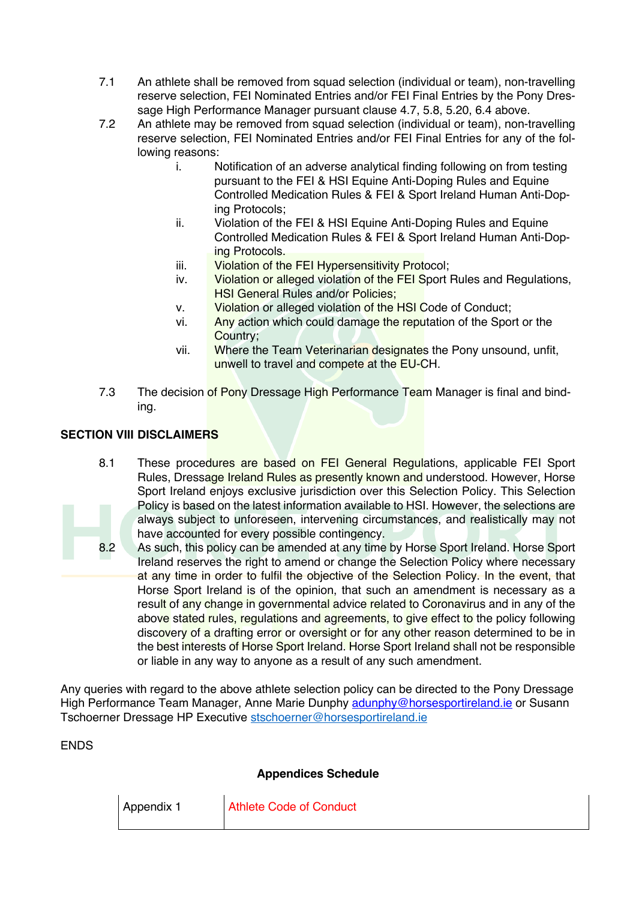- 7.1 An athlete shall be removed from squad selection (individual or team), non-travelling reserve selection, FEI Nominated Entries and/or FEI Final Entries by the Pony Dressage High Performance Manager pursuant clause 4.7, 5.8, 5.20, 6.4 above.
- 7.2 An athlete may be removed from squad selection (individual or team), non-travelling reserve selection, FEI Nominated Entries and/or FEI Final Entries for any of the following reasons:
	- i. Notification of an adverse analytical finding following on from testing pursuant to the FEI & HSI Equine Anti-Doping Rules and Equine Controlled Medication Rules & FEI & Sport Ireland Human Anti-Doping Protocols;
	- ii. Violation of the FEI & HSI Equine Anti-Doping Rules and Equine Controlled Medication Rules & FEI & Sport Ireland Human Anti-Doping Protocols.
	- iii. Violation of the FEI Hypersensitivity Protocol;
	- iv. Violation or alleged violation of the FEI Sport Rules and Regulations, HSI General Rules and/or Policies;
	- v. Violation or alleged violation of the HSI Code of Conduct;
	- vi. Any action which could damage the reputation of the Sport or the Country;
	- vii. Where the Team Veterinarian designates the Pony unsound, unfit, unwell to travel and compete at the EU-CH.
- 7.3 The decision of Pony Dressage High Performance Team Manager is final and binding.

# **SECTION VIII DISCLAIMERS**

- 8.1 These procedures are based on FEI General Regulations, applicable FEI Sport Rules, Dressage Ireland Rules as presently known and understood. However, Horse Sport Ireland enjoys exclusive jurisdiction over this Selection Policy. This Selection Policy is based on the latest information available to HSI. However, the selections are always subject to unforeseen, intervening circumstances, and realistically may not have accounted for every possible contingency.
- 8.2 As such, this policy can be amended at any time by Horse Sport Ireland. Horse Sport Ireland reserves the right to amend or change the Selection Policy where necessary at any time in order to fulfil the objective of the Selection Policy. In the event, that Horse Sport Ireland is of the opinion, that such an amendment is necessary as a result of any change in governmental advice related to Coronavirus and in any of the above stated rules, regulations and agreements, to give effect to the policy following discovery of a drafting error or oversight or for any other reason determined to be in the best interests of Horse Sport Ireland. Horse Sport Ireland shall not be responsible or liable in any way to anyone as a result of any such amendment.

Any queries with regard to the above athlete selection policy can be directed to the Pony Dressage High Performance Team Manager, Anne Marie Dunphy adunphy@horsesportireland.ie or Susann Tschoerner Dressage HP Executive stschoerner@horsesportireland.ie

ENDS

### **Appendices Schedule**

| Appendix 1 | Athlete Code of Conduct |
|------------|-------------------------|
|            |                         |